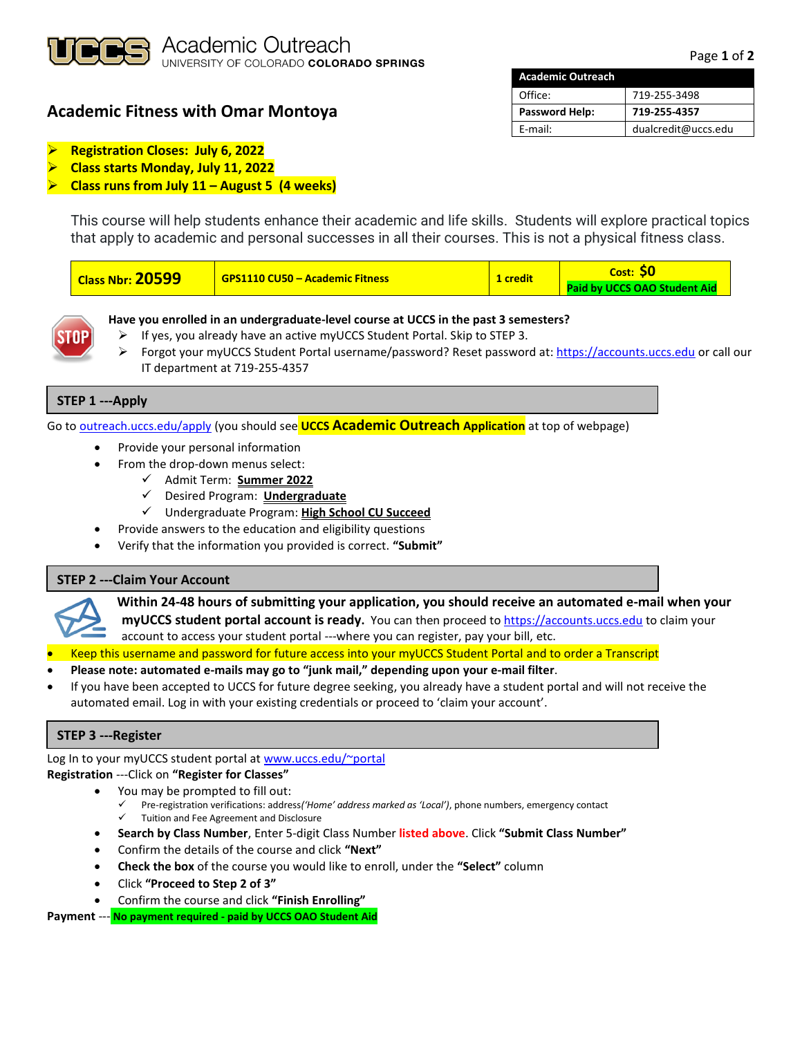

# **Academic Fitness with Omar Montoya**

| <b>Academic Outreach</b> |                     |
|--------------------------|---------------------|
| Office:                  | 719-255-3498        |
| Password Help:           | 719-255-4357        |
| $F$ -mail:               | dualcredit@uccs.edu |

- ➢ **Registration Closes: July 6, 2022**
- ➢ **Class starts Monday, July 11, 2022**

## ➢ **Class runs from July 11 – August 5 (4 weeks)**

This course will help students enhance their academic and life skills. Students will explore practical topics that apply to academic and personal successes in all their courses. This is not a physical fitness class.

## **Have you enrolled in an undergraduate-level course at UCCS in the past 3 semesters?**

- ➢ If yes, you already have an active myUCCS Student Portal. Skip to STEP 3.
- Forgot your myUCCS Student Portal username/password? Reset password at: [https://accounts.uccs.edu](https://accounts.uccs.edu/) or call our IT department at 719-255-4357

## **STEP 1 ---Apply**

Go to [outreach.uccs.edu/apply](https://outreach.uccs.edu/apply) (you should see **UCCS Academic Outreach Application** at top of webpage)

- Provide your personal information
- From the drop-down menus select:
	- ✓ Admit Term: **Summer 2022**
	- ✓ Desired Program: **Undergraduate**
	- ✓ Undergraduate Program: **High School CU Succeed**
	- Provide answers to the education and eligibility questions
- Verify that the information you provided is correct. **"Submit"**

### **STEP 2 ---Claim Your Account**



- **Within 24-48 hours of submitting your application, you should receive an automated e-mail when your myUCCS student portal account is ready.** You can then proceed to [https://accounts.uccs.edu](https://accounts.uccs.edu/) to claim your
- account to access your student portal ---where you can register, pay your bill, etc.
- Keep this username and password for future access into your myUCCS Student Portal and to order a Transcript
- **Please note: automated e-mails may go to "junk mail," depending upon your e-mail filter**.
- If you have been accepted to UCCS for future degree seeking, you already have a student portal and will not receive the automated email. Log in with your existing credentials or proceed to 'claim your account'.

### **STEP 3 ---Register**

Log In to your myUCCS student portal at [www.uccs.edu/~portal](file://///columbia/dept/CWES/How%20To) **Registration** ---Click on **"Register for Classes"**

- You may be prompted to fill out:
	- ✓ Pre-registration verifications: address*('Home' address marked as 'Local')*, phone numbers, emergency contact Tuition and Fee Agreement and Disclosure
- **Search by Class Number**, Enter 5-digit Class Number **listed above**. Click **"Submit Class Number"**
- Confirm the details of the course and click **"Next"**
- **Check the box** of the course you would like to enroll, under the **"Select"** column
- Click **"Proceed to Step 2 of 3"**
- Confirm the course and click **"Finish Enrolling"**

**Payment** --- **No payment required - paid by UCCS OAO Student Aid**